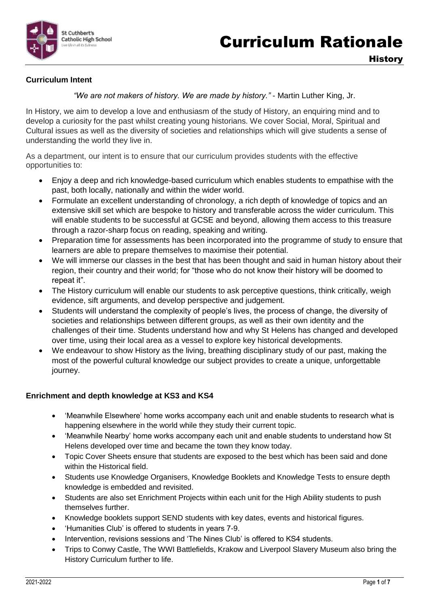

### **Curriculum Intent**

*"We are not makers of history. We are made by history."* - Martin Luther King, Jr.

In History, we aim to develop a love and enthusiasm of the study of History, an enquiring mind and to develop a curiosity for the past whilst creating young historians. We cover Social, Moral, Spiritual and Cultural issues as well as the diversity of societies and relationships which will give students a sense of understanding the world they live in.

As a department, our intent is to ensure that our curriculum provides students with the effective opportunities to:

- Enjoy a deep and rich knowledge-based curriculum which enables students to empathise with the past, both locally, nationally and within the wider world.
- Formulate an excellent understanding of chronology, a rich depth of knowledge of topics and an extensive skill set which are bespoke to history and transferable across the wider curriculum. This will enable students to be successful at GCSE and beyond, allowing them access to this treasure through a razor-sharp focus on reading, speaking and writing.
- Preparation time for assessments has been incorporated into the programme of study to ensure that learners are able to prepare themselves to maximise their potential.
- We will immerse our classes in the best that has been thought and said in human history about their region, their country and their world; for "those who do not know their history will be doomed to repeat it".
- The History curriculum will enable our students to ask perceptive questions, think critically, weigh evidence, sift arguments, and develop perspective and judgement.
- Students will understand the complexity of people's lives, the process of change, the diversity of societies and relationships between different groups, as well as their own identity and the challenges of their time. Students understand how and why St Helens has changed and developed over time, using their local area as a vessel to explore key historical developments.
- We endeavour to show History as the living, breathing disciplinary study of our past, making the most of the powerful cultural knowledge our subject provides to create a unique, unforgettable journey.

#### **Enrichment and depth knowledge at KS3 and KS4**

- 'Meanwhile Elsewhere' home works accompany each unit and enable students to research what is happening elsewhere in the world while they study their current topic.
- 'Meanwhile Nearby' home works accompany each unit and enable students to understand how St Helens developed over time and became the town they know today.
- Topic Cover Sheets ensure that students are exposed to the best which has been said and done within the Historical field.
- Students use Knowledge Organisers, Knowledge Booklets and Knowledge Tests to ensure depth knowledge is embedded and revisited.
- Students are also set Enrichment Projects within each unit for the High Ability students to push themselves further.
- Knowledge booklets support SEND students with key dates, events and historical figures.
- 'Humanities Club' is offered to students in years 7-9.
- Intervention, revisions sessions and 'The Nines Club' is offered to KS4 students.
- Trips to Conwy Castle, The WWI Battlefields, Krakow and Liverpool Slavery Museum also bring the History Curriculum further to life.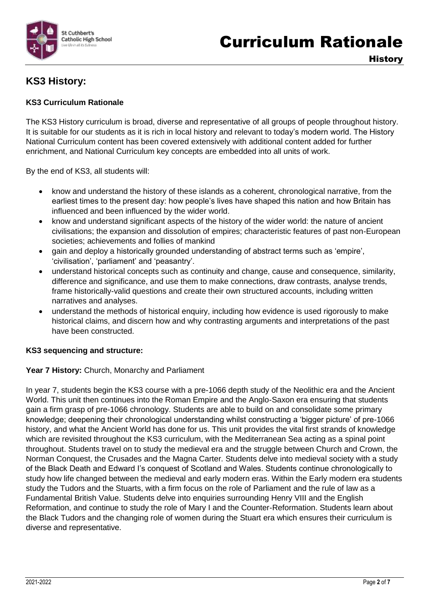

# **KS3 History:**

# **KS3 Curriculum Rationale**

The KS3 History curriculum is broad, diverse and representative of all groups of people throughout history. It is suitable for our students as it is rich in local history and relevant to today's modern world. The History National Curriculum content has been covered extensively with additional content added for further enrichment, and National Curriculum key concepts are embedded into all units of work.

By the end of KS3, all students will:

- know and understand the history of these islands as a coherent, chronological narrative, from the earliest times to the present day: how people's lives have shaped this nation and how Britain has influenced and been influenced by the wider world.
- know and understand significant aspects of the history of the wider world: the nature of ancient civilisations; the expansion and dissolution of empires; characteristic features of past non-European societies; achievements and follies of mankind
- gain and deploy a historically grounded understanding of abstract terms such as 'empire', 'civilisation', 'parliament' and 'peasantry'.
- understand historical concepts such as continuity and change, cause and consequence, similarity, difference and significance, and use them to make connections, draw contrasts, analyse trends, frame historically-valid questions and create their own structured accounts, including written narratives and analyses.
- understand the methods of historical enquiry, including how evidence is used rigorously to make historical claims, and discern how and why contrasting arguments and interpretations of the past have been constructed.

# **KS3 sequencing and structure:**

#### Year 7 History: Church, Monarchy and Parliament

In year 7, students begin the KS3 course with a pre-1066 depth study of the Neolithic era and the Ancient World. This unit then continues into the Roman Empire and the Anglo-Saxon era ensuring that students gain a firm grasp of pre-1066 chronology. Students are able to build on and consolidate some primary knowledge; deepening their chronological understanding whilst constructing a 'bigger picture' of pre-1066 history, and what the Ancient World has done for us. This unit provides the vital first strands of knowledge which are revisited throughout the KS3 curriculum, with the Mediterranean Sea acting as a spinal point throughout. Students travel on to study the medieval era and the struggle between Church and Crown, the Norman Conquest, the Crusades and the Magna Carter. Students delve into medieval society with a study of the Black Death and Edward I's conquest of Scotland and Wales. Students continue chronologically to study how life changed between the medieval and early modern eras. Within the Early modern era students study the Tudors and the Stuarts, with a firm focus on the role of Parliament and the rule of law as a Fundamental British Value. Students delve into enquiries surrounding Henry VIII and the English Reformation, and continue to study the role of Mary I and the Counter-Reformation. Students learn about the Black Tudors and the changing role of women during the Stuart era which ensures their curriculum is diverse and representative.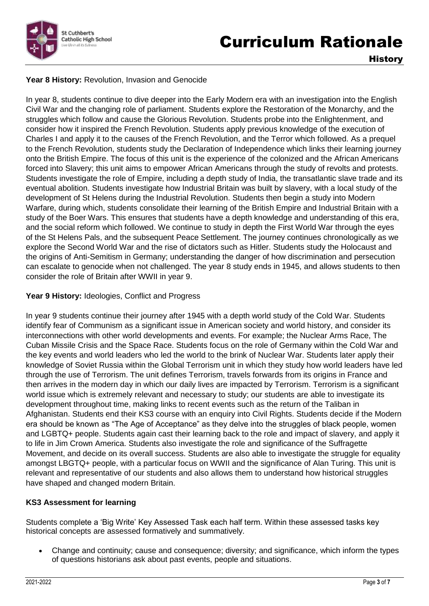

**History** 

# Year 8 History: Revolution, Invasion and Genocide

In year 8, students continue to dive deeper into the Early Modern era with an investigation into the English Civil War and the changing role of parliament. Students explore the Restoration of the Monarchy, and the struggles which follow and cause the Glorious Revolution. Students probe into the Enlightenment, and consider how it inspired the French Revolution. Students apply previous knowledge of the execution of Charles I and apply it to the causes of the French Revolution, and the Terror which followed. As a prequel to the French Revolution, students study the Declaration of Independence which links their learning journey onto the British Empire. The focus of this unit is the experience of the colonized and the African Americans forced into Slavery; this unit aims to empower African Americans through the study of revolts and protests. Students investigate the role of Empire, including a depth study of India, the transatlantic slave trade and its eventual abolition. Students investigate how Industrial Britain was built by slavery, with a local study of the development of St Helens during the Industrial Revolution. Students then begin a study into Modern Warfare, during which, students consolidate their learning of the British Empire and Industrial Britain with a study of the Boer Wars. This ensures that students have a depth knowledge and understanding of this era, and the social reform which followed. We continue to study in depth the First World War through the eyes of the St Helens Pals, and the subsequent Peace Settlement. The journey continues chronologically as we explore the Second World War and the rise of dictators such as Hitler. Students study the Holocaust and the origins of Anti-Semitism in Germany; understanding the danger of how discrimination and persecution can escalate to genocide when not challenged. The year 8 study ends in 1945, and allows students to then consider the role of Britain after WWII in year 9.

# Year 9 History: Ideologies, Conflict and Progress

In year 9 students continue their journey after 1945 with a depth world study of the Cold War. Students identify fear of Communism as a significant issue in American society and world history, and consider its interconnections with other world developments and events. For example; the Nuclear Arms Race, The Cuban Missile Crisis and the Space Race. Students focus on the role of Germany within the Cold War and the key events and world leaders who led the world to the brink of Nuclear War. Students later apply their knowledge of Soviet Russia within the Global Terrorism unit in which they study how world leaders have led through the use of Terrorism. The unit defines Terrorism, travels forwards from its origins in France and then arrives in the modern day in which our daily lives are impacted by Terrorism. Terrorism is a significant world issue which is extremely relevant and necessary to study; our students are able to investigate its development throughout time, making links to recent events such as the return of the Taliban in Afghanistan. Students end their KS3 course with an enquiry into Civil Rights. Students decide if the Modern era should be known as "The Age of Acceptance" as they delve into the struggles of black people, women and LGBTQ+ people. Students again cast their learning back to the role and impact of slavery, and apply it to life in Jim Crown America. Students also investigate the role and significance of the Suffragette Movement, and decide on its overall success. Students are also able to investigate the struggle for equality amongst LBGTQ+ people, with a particular focus on WWII and the significance of Alan Turing. This unit is relevant and representative of our students and also allows them to understand how historical struggles have shaped and changed modern Britain.

# **KS3 Assessment for learning**

Students complete a 'Big Write' Key Assessed Task each half term. Within these assessed tasks key historical concepts are assessed formatively and summatively.

 Change and continuity; cause and consequence; diversity; and significance, which inform the types of questions historians ask about past events, people and situations.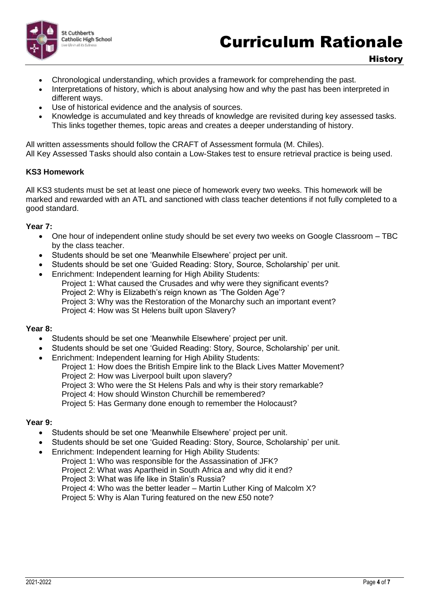

- Chronological understanding, which provides a framework for comprehending the past.
- Interpretations of history, which is about analysing how and why the past has been interpreted in different ways.
- Use of historical evidence and the analysis of sources.
- Knowledge is accumulated and key threads of knowledge are revisited during key assessed tasks. This links together themes, topic areas and creates a deeper understanding of history.

All written assessments should follow the CRAFT of Assessment formula (M. Chiles). All Key Assessed Tasks should also contain a Low-Stakes test to ensure retrieval practice is being used.

#### **KS3 Homework**

All KS3 students must be set at least one piece of homework every two weeks. This homework will be marked and rewarded with an ATL and sanctioned with class teacher detentions if not fully completed to a good standard.

#### **Year 7:**

- One hour of independent online study should be set every two weeks on Google Classroom TBC by the class teacher.
- Students should be set one 'Meanwhile Elsewhere' project per unit.
- Students should be set one 'Guided Reading: Story, Source, Scholarship' per unit.
- Enrichment: Independent learning for High Ability Students: Project 1: What caused the Crusades and why were they significant events? Project 2: Why is Elizabeth's reign known as 'The Golden Age'? Project 3: Why was the Restoration of the Monarchy such an important event? Project 4: How was St Helens built upon Slavery?

#### **Year 8:**

- Students should be set one 'Meanwhile Elsewhere' project per unit.
- Students should be set one 'Guided Reading: Story, Source, Scholarship' per unit.
- Enrichment: Independent learning for High Ability Students:
	- Project 1: How does the British Empire link to the Black Lives Matter Movement? Project 2: How was Liverpool built upon slavery? Project 3: Who were the St Helens Pals and why is their story remarkable?

Project 4: How should Winston Churchill be remembered? Project 5: Has Germany done enough to remember the Holocaust?

#### **Year 9:**

- Students should be set one 'Meanwhile Elsewhere' project per unit.
- Students should be set one 'Guided Reading: Story, Source, Scholarship' per unit.
- Enrichment: Independent learning for High Ability Students:
	- Project 1: Who was responsible for the Assassination of JFK?
		- Project 2: What was Apartheid in South Africa and why did it end?
		- Project 3: What was life like in Stalin's Russia?
		- Project 4: Who was the better leader Martin Luther King of Malcolm X?

Project 5: Why is Alan Turing featured on the new £50 note?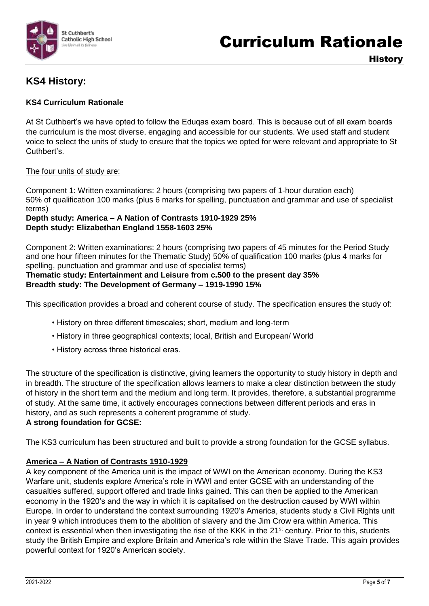

# **KS4 History:**

# **KS4 Curriculum Rationale**

At St Cuthbert's we have opted to follow the Eduqas exam board. This is because out of all exam boards the curriculum is the most diverse, engaging and accessible for our students. We used staff and student voice to select the units of study to ensure that the topics we opted for were relevant and appropriate to St Cuthbert's.

#### The four units of study are:

Component 1: Written examinations: 2 hours (comprising two papers of 1-hour duration each) 50% of qualification 100 marks (plus 6 marks for spelling, punctuation and grammar and use of specialist terms)

### **Depth study: America – A Nation of Contrasts 1910-1929 25% Depth study: Elizabethan England 1558-1603 25%**

Component 2: Written examinations: 2 hours (comprising two papers of 45 minutes for the Period Study and one hour fifteen minutes for the Thematic Study) 50% of qualification 100 marks (plus 4 marks for spelling, punctuation and grammar and use of specialist terms)

### **Thematic study: Entertainment and Leisure from c.500 to the present day 35% Breadth study: The Development of Germany – 1919-1990 15%**

This specification provides a broad and coherent course of study. The specification ensures the study of:

- History on three different timescales; short, medium and long-term
- History in three geographical contexts; local, British and European/ World
- History across three historical eras.

The structure of the specification is distinctive, giving learners the opportunity to study history in depth and in breadth. The structure of the specification allows learners to make a clear distinction between the study of history in the short term and the medium and long term. It provides, therefore, a substantial programme of study. At the same time, it actively encourages connections between different periods and eras in history, and as such represents a coherent programme of study.

#### **A strong foundation for GCSE:**

The KS3 curriculum has been structured and built to provide a strong foundation for the GCSE syllabus.

# **America – A Nation of Contrasts 1910-1929**

A key component of the America unit is the impact of WWI on the American economy. During the KS3 Warfare unit, students explore America's role in WWI and enter GCSE with an understanding of the casualties suffered, support offered and trade links gained. This can then be applied to the American economy in the 1920's and the way in which it is capitalised on the destruction caused by WWI within Europe. In order to understand the context surrounding 1920's America, students study a Civil Rights unit in year 9 which introduces them to the abolition of slavery and the Jim Crow era within America. This context is essential when then investigating the rise of the KKK in the 21<sup>st</sup> century. Prior to this, students study the British Empire and explore Britain and America's role within the Slave Trade. This again provides powerful context for 1920's American society.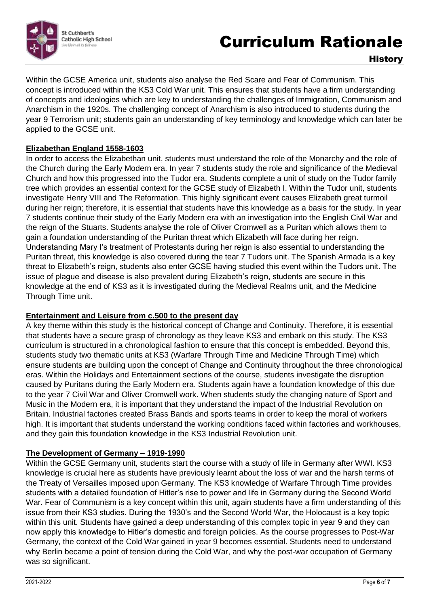

Within the GCSE America unit, students also analyse the Red Scare and Fear of Communism. This concept is introduced within the KS3 Cold War unit. This ensures that students have a firm understanding of concepts and ideologies which are key to understanding the challenges of Immigration, Communism and Anarchism in the 1920s. The challenging concept of Anarchism is also introduced to students during the year 9 Terrorism unit; students gain an understanding of key terminology and knowledge which can later be applied to the GCSE unit.

# **Elizabethan England 1558-1603**

In order to access the Elizabethan unit, students must understand the role of the Monarchy and the role of the Church during the Early Modern era. In year 7 students study the role and significance of the Medieval Church and how this progressed into the Tudor era. Students complete a unit of study on the Tudor family tree which provides an essential context for the GCSE study of Elizabeth I. Within the Tudor unit, students investigate Henry VIII and The Reformation. This highly significant event causes Elizabeth great turmoil during her reign; therefore, it is essential that students have this knowledge as a basis for the study. In year 7 students continue their study of the Early Modern era with an investigation into the English Civil War and the reign of the Stuarts. Students analyse the role of Oliver Cromwell as a Puritan which allows them to gain a foundation understanding of the Puritan threat which Elizabeth will face during her reign. Understanding Mary I's treatment of Protestants during her reign is also essential to understanding the Puritan threat, this knowledge is also covered during the tear 7 Tudors unit. The Spanish Armada is a key threat to Elizabeth's reign, students also enter GCSE having studied this event within the Tudors unit. The issue of plague and disease is also prevalent during Elizabeth's reign, students are secure in this knowledge at the end of KS3 as it is investigated during the Medieval Realms unit, and the Medicine Through Time unit.

# **Entertainment and Leisure from c.500 to the present day**

A key theme within this study is the historical concept of Change and Continuity. Therefore, it is essential that students have a secure grasp of chronology as they leave KS3 and embark on this study. The KS3 curriculum is structured in a chronological fashion to ensure that this concept is embedded. Beyond this, students study two thematic units at KS3 (Warfare Through Time and Medicine Through Time) which ensure students are building upon the concept of Change and Continuity throughout the three chronological eras. Within the Holidays and Entertainment sections of the course, students investigate the disruption caused by Puritans during the Early Modern era. Students again have a foundation knowledge of this due to the year 7 Civil War and Oliver Cromwell work. When students study the changing nature of Sport and Music in the Modern era, it is important that they understand the impact of the Industrial Revolution on Britain. Industrial factories created Brass Bands and sports teams in order to keep the moral of workers high. It is important that students understand the working conditions faced within factories and workhouses, and they gain this foundation knowledge in the KS3 Industrial Revolution unit.

# **The Development of Germany – 1919-1990**

Within the GCSE Germany unit, students start the course with a study of life in Germany after WWI. KS3 knowledge is crucial here as students have previously learnt about the loss of war and the harsh terms of the Treaty of Versailles imposed upon Germany. The KS3 knowledge of Warfare Through Time provides students with a detailed foundation of Hitler's rise to power and life in Germany during the Second World War. Fear of Communism is a key concept within this unit, again students have a firm understanding of this issue from their KS3 studies. During the 1930's and the Second World War, the Holocaust is a key topic within this unit. Students have gained a deep understanding of this complex topic in year 9 and they can now apply this knowledge to Hitler's domestic and foreign policies. As the course progresses to Post-War Germany, the context of the Cold War gained in year 9 becomes essential. Students need to understand why Berlin became a point of tension during the Cold War, and why the post-war occupation of Germany was so significant.